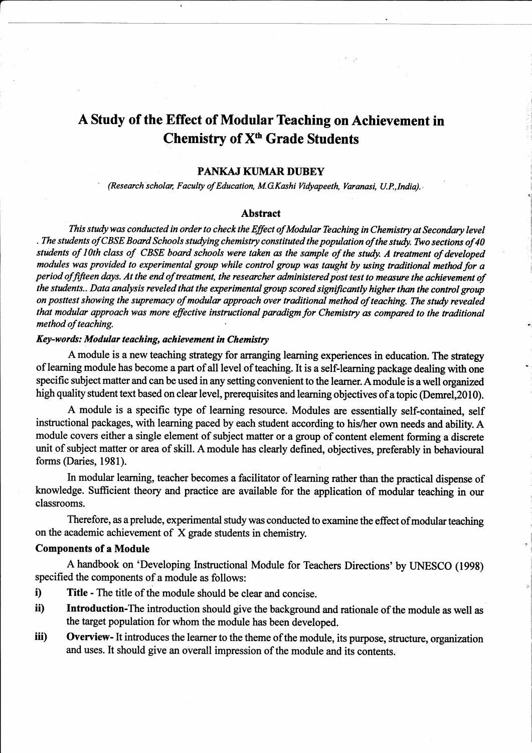# A Study of the Effect of Modular Teaching on Achievement in Chemistry of  $X<sup>th</sup>$  Grade Students

## PANKAJ KUMAR DUBEY

(Research scholar, Faculty of Education, M.G.Kashi Vidyapeeth, Varanasi, U.P.,India).

#### Abstract

This study was conducted in order to check the Effect of Modular Teaching in Chemistry at Secondary level . The students of CBSE Board Schools studying chemistry constituted the population of the study. Two sections of 40 students of 10th class of CBSE board schools were taken as the sample of the study. A treatment of developed modules was provided to experimental group while control group was taught by using traditional method for a period of fifteen days. At the end of treatment, the researcher administered post test to measure the achievement of the students.. Data analysis reveled that the experimental group scored significantly higher than the control group on posttest showing the supremacy of modular approach over traditional method of teaching. The study revealed that modular approach was more effective instructional paradigm for Chemistry as compared to the traditional method of teaching.

## Key-words: Modular teaching, achievement in Chemistry

A module is a new teaching strategy for arranging learning experiences in education. The strategy of leaming module has become a part of all level of teaching. It is a self-learning package dealing with one specific subject matter and can be used in any setting convenient to the learner. A module is a well organized high quality student text based on clear level, prerequisites and learning objectives of a topic (Demrel, 2010).

A module is a specific type of learning resource. Modules are essentially self-contained, self instructional packages, with learning paced by each student according to his/her own needs and ability. A module covers either a single element of subject matter or a group of content element forming a discrete unit of subject matter or area of skill. A module has clearly defined, objectives, preferably in behavioural forms (Daries, 1981).

In modular learning, teacher becomes a facilitator of leaming rather than the practical dispense of knowledge. Sufficient theory and practice are available for the application of modular teaching in our classrooms.

Therefore, as a prelude, experimental study was conducted to examine the effect of modular teaching on the academic achievement of  $X$  grade students in chemistry.

## Components of a Module

A handbook on 'Developing Instructional Module for Teachers Directions'by LJNESCO (1998) specified the components of a module as follows:

- i) Title The title of the module should be clear and concise.
- ii) Introduction-The introduction should give the background and rationale of the module as well as the target population for whom the module has been developed.
- iii) Overview- It introduces the learner to the theme of the module, its purpose, structure, organization and uses. It should give an overall impression of the module and its contents.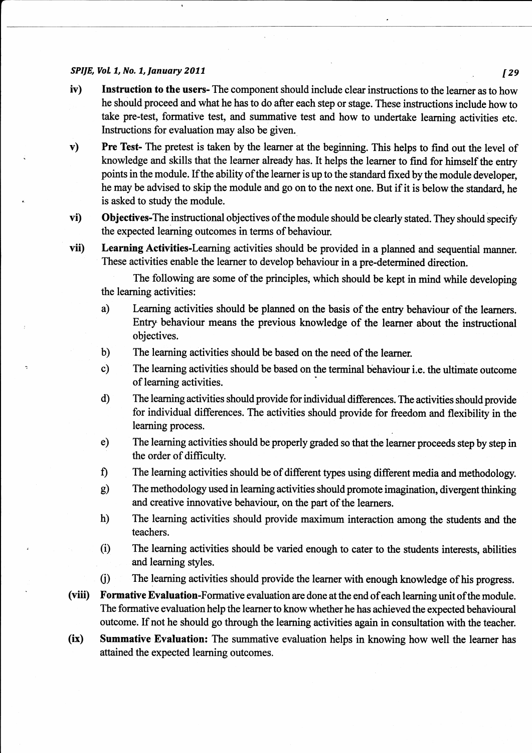### SPAE,VoL7,No,7,January2077 [Zg

- iv) Instruction to the users- The component should include clear instructions to the learner as to how he should proceed and what he has to do after each step or stage. These instructions include how to take pre-test, formative test, and summative test and how to undertake learning activities etc. Instructions for evaluation may also be given.
- v) Pre Test- The pretest is taken by the learner at the beginning. This helps to find out the level of knowledge and skills that the learner already has. It helps the learner to find for himself the entry points in the module. If the ability of the learner is up to the standard fixed by the module developer, he may be advised to skip the module and go on to the next one. But if it is below the standard, he is asked to study the module.
- vi) Objectives-The instructional objectives of the module should be clearly stated. They should specify the expected learning outcomes in terms of behaviour.
- vii) Learning Activities-Learning activities should be provided in a planned and sequential manner. These activities enable the learner to develop behaviour in a pre-determined direction.

The following are some of the principles, which should be kept in mind while developing the leaming activities:

- a) Leaming activities should be planned on the basis of the entry behaviour of the learners. Enty behaviour means the previous knowledge of the learner about the instructional objectives.
- b) The learning activities should be based on the need of the learner.
- c) The learning activities should be based on the terminal behaviour i.e. the ultimate outcome of learning activities.
- d) The learning activities should provide for individual differences. The activities should provide for individual differences. The activities should provide for freedom and flexibility in the learning process.
- e) The learning activities should be properly graded so that the learner proceeds step by step in the order of difficulty.
- f) The learning activities should be of different types using different media and methodology.
- g) The methodology used in learning activities should promote imagination, divergent thinking and creative innovative behaviour, on the part of the learners.
- h) The learning activities should provide maximum interaction among the students and the teachers.
- (i) The learning activities should be varied enough to cater to the students interests, abilities and learning styles.
- C) The learning activities should provide the learner with enough knowledge of his progress.
- (viii) Formative Evaluation-Formative evaluation are done at the end of each learning unit of the module. The formative evaluation help the learner to know whether he has achieved the expected behavioural outcome. If not he should go through the leaming activities again in consultation with the teacher.
- (ix) Summative Evaluation: The summative evaluation helps in knowing how well the leamer has attained the expected leaming outcomes.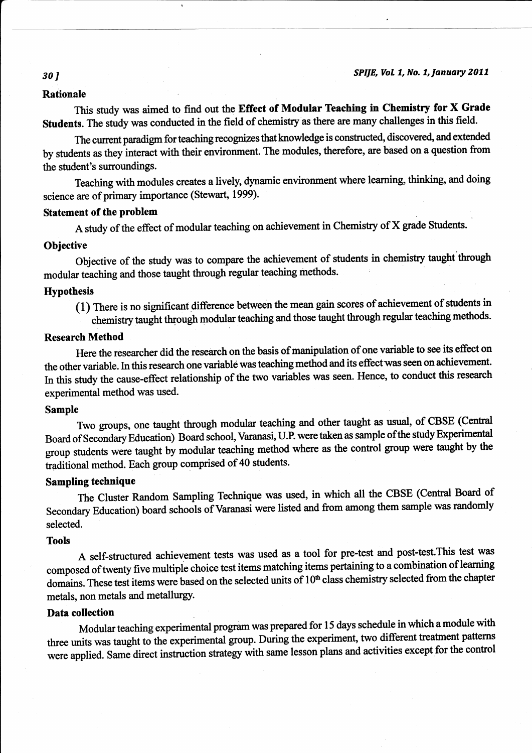## Rationale

This study was aimed to find out the Effect of Modular Teaching in Chemistry for X Grade Students. The study was conducted in the field of chemistry as there are many challenges in this field.

The current paradigm for teaching recognizes that knowledge is constructed, discovered, and extended by students as they interact with their environment. The modules, therefore, are based on a question from the student's surroundings.

Teaching with modules creates a tively, dynamic environment where leaming, thinking, and doing science are of primary importance (Stewart, 1999).

### Statement of the problem

A study of the effect of modular teaching on achievement in Chemistry of X grade Students.

## **Objective**

Objective of the study was to compare the achievement of students in chemistry taught through modular teaching and those taught through regular teaching methods.

## Hypothesis

(1) There is no significant difference between the mean gain scores of achievement of students in chemistry taught through modular teaching and those taught through regular teaching methods.

## Research Method

Here the researcher did the research on the basis of manipulation of one variable to see its effect on the other variable. In this research one variable was teaching method and its effectwas seen on achievement. In this study the cause-effect relationship of the two variables was seen. Hence, to conduct this research experimental method was used.

### Sample

Two groups, one taught through modular teaching and other taught as usual, of CBSE (Central Board of Secondary Education) Board school, Varanasi, U.P. were taken as sample ofthe study Experimental group students were taught by modular teaching method where as the control group were taught by the traditional method. Each group comprised of 40 students.

## Sampling technique

The Cluster Random Sampling Technique was used, in which all the CBSE (Central Board of Secondary Education) board schools of Varanasi were listed and from among them sample was randomly selected.

#### Tools

A self-structured achievement tests was used as a tool for pre-test and post-test.This lest was composed of twenty five multiple choice test items matching items pertaining to a combination of learning domains. These test items were based on the selected units of 10<sup>th</sup> class chemistry selected from the chapter metals, non metals and metallurgy.

## Data collection

Modular teaching experimental program was prepared for 15 days schedule in which a module with three units was taught to the experimental group. During the experiment, two different treatment patterns were applied. Same direct instruction strategy with same lesson plans and activities except for the control

### 30 1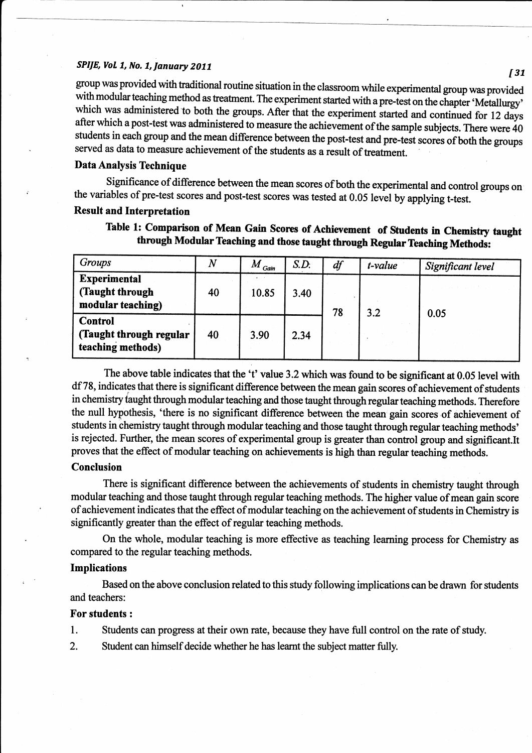I

SPIJE, Vol. 1, No. 1, January 2011<br>group was provided with traditional routine situation in the classroom while experimental group was provided with modular teaching method as treatment. The experiment started with a pre-test on the chapter 'Metallurgy'<br>which was administered to both the groups. After that the experiment started and continued for 12 days after which a post-test was administered to measure the achievement of the sample subjects. There were 40 students in each group and the mean difference between the post-test and pre-test scores of both the groups served as data to measure achievement of the students as a result of treatnent.

## Data Analysis Technique

Significance of difference between the mean scores of both the experimental and control groups on the variables of pre-test scores and post-test scores was tested at 0.05 level by applying t-test.

## Result and Interpretation

Table 1: Comparison of Mean Gain Scores of Achievement of Students in Chemistry taught through Modular Teaching and those taught through Regular Teaching Methods:

| Groups                                                         | $\boldsymbol{N}$ | $M$ <sub>Gain</sub> | S.D. | df | t-value | Significant level |
|----------------------------------------------------------------|------------------|---------------------|------|----|---------|-------------------|
| <b>Experimental</b><br>(Taught through<br>modular teaching)    | 40               | 10.85               | 3.40 | 78 | 3.2     | 0.05              |
| <b>Control</b><br>(Taught through regular<br>teaching methods) | 40               | 3.90                | 2.34 |    |         |                   |

The above table indicates that the 't' value 3.2 which was found to be significant at 0.05 level with df 78, indicates that there is significant difference between the mean gain scores of achievement of students in chemistry taught through modular teaching and those taught through regular teaching methods. Therefore the null hypothesis, 'there is no significant difference between the mean gain scores of achievement of students in chemistry taught through modular teaching and those taught through regular teaching methods' is rejected. Further, the mean scores of experimental group is greater than control group and significant.It proves that the effect of modular teaching on achievements is high than regular teaching methods.

## Conclusion

There is significant difference between the achievements of students in chemistry taught through modular teaching and those taught through regular teaching methods. The higher value of mean gain score of achievement indicates that the effect of modular teaching on the achievement of students in Chemistry is significantly greater than the effect of regular teaching methods.

On the whole, modular teaching is more effective as teaching learning process for Chemisty as compared to the regular teaching methods.

### Implications

Based on the above conclusion related to this study following implications can be drawn for students and teachers:

## For students :

l. Students can progress at their own rate, because they have full control on the rate of study.

2. Student can himself decide whether he has leamt the subject matter fully.